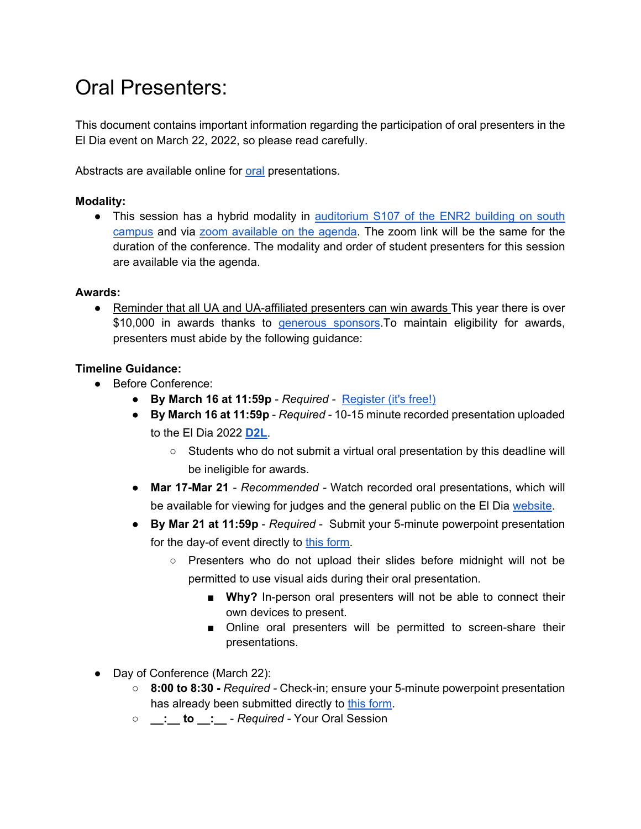# Oral Presenters:

This document contains important information regarding the participation of oral presenters in the El Dia event on March 22, 2022, so please read carefully.

Abstracts are available online for [oral](https://eldia2022.github.io/abstracts_oral.html) presentations.

#### **Modality:**

• This session has a hybrid modality in auditorium S107 of the ENR2 building on south [campus](https://eldia2022.github.io/Location.html) and via [zoom available on the agenda.](https://eldia2022.github.io/agenda.html) The zoom link will be the same for the duration of the conference. The modality and order of student presenters for this session are available via the agenda.

#### **Awards:**

● Reminder that all UA and UA-affiliated presenters can win awards This year there is over \$10,000 in awards thanks to [generous sponsors.](https://has.arizona.edu/2022-sponsors-awards-and-prizes)To maintain eligibility for awards, presenters must abide by the following guidance:

## **Timeline Guidance:**

- Before Conference:
	- **By March 16 at 11:59p**  *Required -* [Register \(it's free!\)](https://docs.google.com/forms/d/e/1FAIpQLSepZuYdTK7zlqa_hY1BpnC7Qpu9VsZT2Kp3joJGNkPSjMyYng/viewform)
	- **By March 16 at 11:59p** *Required -* 10-15 minute recorded presentation uploaded to the El Dia 2022 **[D2L](https://d2l.arizona.edu/d2l/home/1147516)**.
		- Students who do not submit a virtual oral presentation by this deadline will be ineligible for awards.
	- **Mar 17-Mar 21**  *Recommended -* Watch recorded oral presentations, which will be available for viewing for judges and the general public on the El Dia [website.](https://eldia2022.github.io/abstracts_oral.html)
	- **By Mar 21 at 11:59p**  *Required* Submit your 5-minute powerpoint presentation for the day-of event directly to [this form.](https://docs.google.com/forms/d/e/1FAIpQLSc5OXsNx9tQqY785QpCgDAkWdPq3zNXkjaMOL8iLYApmMIF6A/viewform?usp=sf_link)
		- Presenters who do not upload their slides before midnight will not be permitted to use visual aids during their oral presentation.
			- Why? In-person oral presenters will not be able to connect their own devices to present.
			- Online oral presenters will be permitted to screen-share their presentations.
- Day of Conference (March 22):
	- **8:00 to 8:30 -** *Required -* Check-in; ensure your 5-minute powerpoint presentation has already been submitted directly to [this form.](https://docs.google.com/forms/d/e/1FAIpQLSc5OXsNx9tQqY785QpCgDAkWdPq3zNXkjaMOL8iLYApmMIF6A/viewform?usp=sf_link)
	- **\_\_:\_\_ to \_\_:\_\_**  *Required -* Your Oral Session